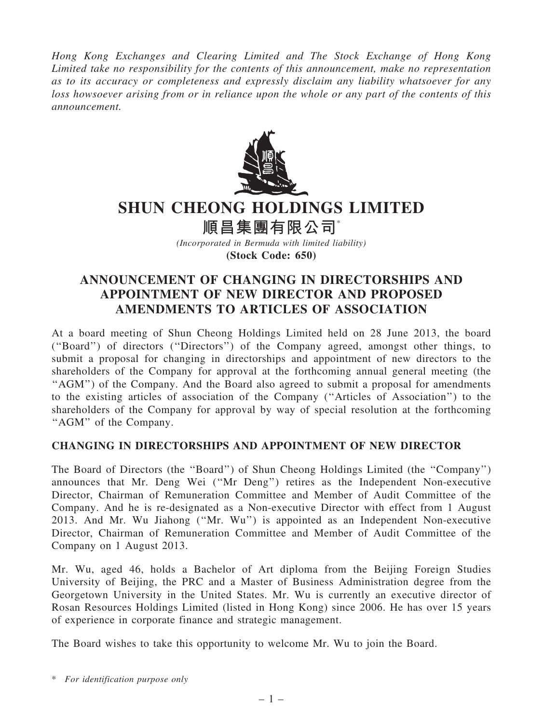Hong Kong Exchanges and Clearing Limited and The Stock Exchange of Hong Kong Limited take no responsibility for the contents of this announcement, make no representation as to its accuracy or completeness and expressly disclaim any liability whatsoever for any loss howsoever arising from or in reliance upon the whole or any part of the contents of this announcement.



## SHUN CHEONG HOLDINGS LIMITED

順昌集團有限公司\*

(Incorporated in Bermuda with limited liability) (Stock Code: 650)

## ANNOUNCEMENT OF CHANGING IN DIRECTORSHIPS AND APPOINTMENT OF NEW DIRECTOR AND PROPOSED AMENDMENTS TO ARTICLES OF ASSOCIATION

At a board meeting of Shun Cheong Holdings Limited held on 28 June 2013, the board (''Board'') of directors (''Directors'') of the Company agreed, amongst other things, to submit a proposal for changing in directorships and appointment of new directors to the shareholders of the Company for approval at the forthcoming annual general meeting (the "AGM") of the Company. And the Board also agreed to submit a proposal for amendments to the existing articles of association of the Company (''Articles of Association'') to the shareholders of the Company for approval by way of special resolution at the forthcoming "AGM" of the Company.

## CHANGING IN DIRECTORSHIPS AND APPOINTMENT OF NEW DIRECTOR

The Board of Directors (the ''Board'') of Shun Cheong Holdings Limited (the ''Company'') announces that Mr. Deng Wei (''Mr Deng'') retires as the Independent Non-executive Director, Chairman of Remuneration Committee and Member of Audit Committee of the Company. And he is re-designated as a Non-executive Director with effect from 1 August 2013. And Mr. Wu Jiahong (''Mr. Wu'') is appointed as an Independent Non-executive Director, Chairman of Remuneration Committee and Member of Audit Committee of the Company on 1 August 2013.

Mr. Wu, aged 46, holds a Bachelor of Art diploma from the Beijing Foreign Studies University of Beijing, the PRC and a Master of Business Administration degree from the Georgetown University in the United States. Mr. Wu is currently an executive director of Rosan Resources Holdings Limited (listed in Hong Kong) since 2006. He has over 15 years of experience in corporate finance and strategic management.

The Board wishes to take this opportunity to welcome Mr. Wu to join the Board.

<sup>\*</sup> For identification purpose only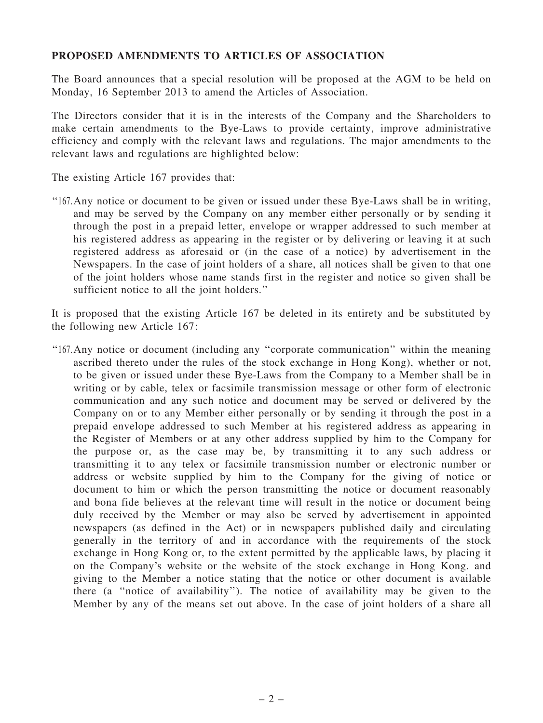## PROPOSED AMENDMENTS TO ARTICLES OF ASSOCIATION

The Board announces that a special resolution will be proposed at the AGM to be held on Monday, 16 September 2013 to amend the Articles of Association.

The Directors consider that it is in the interests of the Company and the Shareholders to make certain amendments to the Bye-Laws to provide certainty, improve administrative efficiency and comply with the relevant laws and regulations. The major amendments to the relevant laws and regulations are highlighted below:

The existing Article 167 provides that:

''167.Any notice or document to be given or issued under these Bye-Laws shall be in writing, and may be served by the Company on any member either personally or by sending it through the post in a prepaid letter, envelope or wrapper addressed to such member at his registered address as appearing in the register or by delivering or leaving it at such registered address as aforesaid or (in the case of a notice) by advertisement in the Newspapers. In the case of joint holders of a share, all notices shall be given to that one of the joint holders whose name stands first in the register and notice so given shall be sufficient notice to all the joint holders."

It is proposed that the existing Article 167 be deleted in its entirety and be substituted by the following new Article 167:

''167.Any notice or document (including any ''corporate communication'' within the meaning ascribed thereto under the rules of the stock exchange in Hong Kong), whether or not, to be given or issued under these Bye-Laws from the Company to a Member shall be in writing or by cable, telex or facsimile transmission message or other form of electronic communication and any such notice and document may be served or delivered by the Company on or to any Member either personally or by sending it through the post in a prepaid envelope addressed to such Member at his registered address as appearing in the Register of Members or at any other address supplied by him to the Company for the purpose or, as the case may be, by transmitting it to any such address or transmitting it to any telex or facsimile transmission number or electronic number or address or website supplied by him to the Company for the giving of notice or document to him or which the person transmitting the notice or document reasonably and bona fide believes at the relevant time will result in the notice or document being duly received by the Member or may also be served by advertisement in appointed newspapers (as defined in the Act) or in newspapers published daily and circulating generally in the territory of and in accordance with the requirements of the stock exchange in Hong Kong or, to the extent permitted by the applicable laws, by placing it on the Company's website or the website of the stock exchange in Hong Kong. and giving to the Member a notice stating that the notice or other document is available there (a ''notice of availability''). The notice of availability may be given to the Member by any of the means set out above. In the case of joint holders of a share all